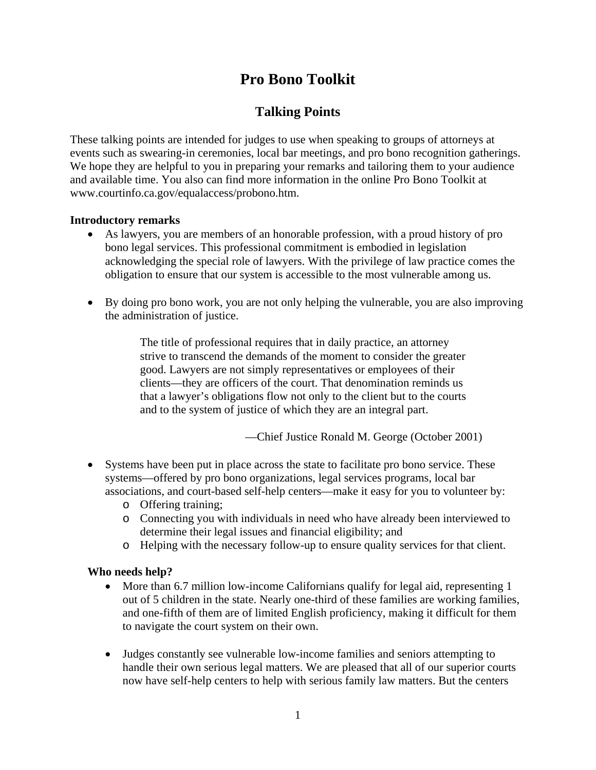# **Pro Bono Toolkit**

# **Talking Points**

These talking points are intended for judges to use when speaking to groups of attorneys at events such as swearing-in ceremonies, local bar meetings, and pro bono recognition gatherings. We hope they are helpful to you in preparing your remarks and tailoring them to your audience and available time. You also can find more information in the online Pro Bono Toolkit at www.courtinfo.ca.gov/equalaccess/probono.htm.

### **Introductory remarks**

- As lawyers, you are members of an honorable profession, with a proud history of pro bono legal services. This professional commitment is embodied in legislation acknowledging the special role of lawyers. With the privilege of law practice comes the obligation to ensure that our system is accessible to the most vulnerable among us.
- By doing pro bono work, you are not only helping the vulnerable, you are also improving the administration of justice.

The title of professional requires that in daily practice, an attorney strive to transcend the demands of the moment to consider the greater good. Lawyers are not simply representatives or employees of their clients—they are officers of the court. That denomination reminds us that a lawyer's obligations flow not only to the client but to the courts and to the system of justice of which they are an integral part.

—Chief Justice Ronald M. George (October 2001)

- Systems have been put in place across the state to facilitate pro bono service. These systems—offered by pro bono organizations, legal services programs, local bar associations, and court-based self-help centers—make it easy for you to volunteer by:
	- o Offering training;
	- o Connecting you with individuals in need who have already been interviewed to determine their legal issues and financial eligibility; and
	- o Helping with the necessary follow-up to ensure quality services for that client.

#### **Who needs help?**

- More than 6.7 million low-income Californians qualify for legal aid, representing 1 out of 5 children in the state. Nearly one-third of these families are working families, and one-fifth of them are of limited English proficiency, making it difficult for them to navigate the court system on their own.
- Judges constantly see vulnerable low-income families and seniors attempting to handle their own serious legal matters. We are pleased that all of our superior courts now have self-help centers to help with serious family law matters. But the centers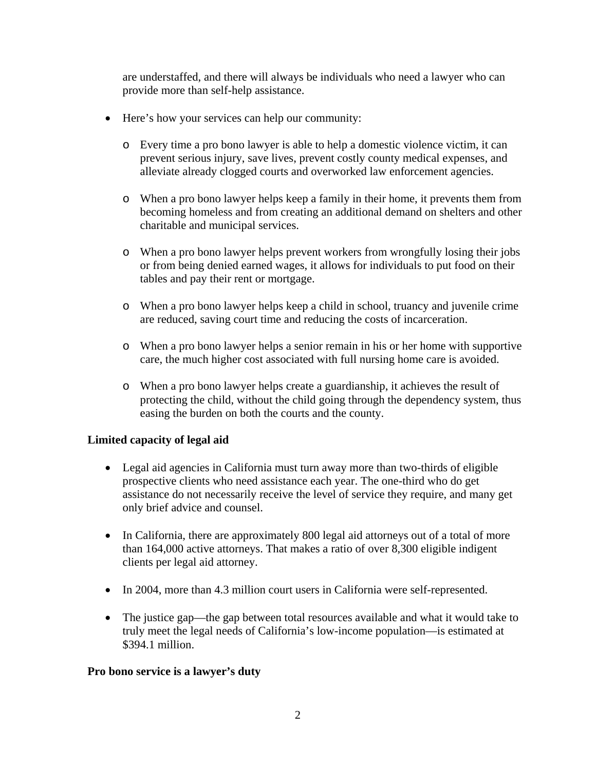are understaffed, and there will always be individuals who need a lawyer who can provide more than self-help assistance.

- Here's how your services can help our community:
	- o Every time a pro bono lawyer is able to help a domestic violence victim, it can prevent serious injury, save lives, prevent costly county medical expenses, and alleviate already clogged courts and overworked law enforcement agencies.
	- o When a pro bono lawyer helps keep a family in their home, it prevents them from becoming homeless and from creating an additional demand on shelters and other charitable and municipal services.
	- o When a pro bono lawyer helps prevent workers from wrongfully losing their jobs or from being denied earned wages, it allows for individuals to put food on their tables and pay their rent or mortgage.
	- o When a pro bono lawyer helps keep a child in school, truancy and juvenile crime are reduced, saving court time and reducing the costs of incarceration.
	- o When a pro bono lawyer helps a senior remain in his or her home with supportive care, the much higher cost associated with full nursing home care is avoided.
	- o When a pro bono lawyer helps create a guardianship, it achieves the result of protecting the child, without the child going through the dependency system, thus easing the burden on both the courts and the county.

# **Limited capacity of legal aid**

- Legal aid agencies in California must turn away more than two-thirds of eligible prospective clients who need assistance each year. The one-third who do get assistance do not necessarily receive the level of service they require, and many get only brief advice and counsel.
- In California, there are approximately 800 legal aid attorneys out of a total of more than 164,000 active attorneys. That makes a ratio of over 8,300 eligible indigent clients per legal aid attorney.
- In 2004, more than 4.3 million court users in California were self-represented.
- The justice gap—the gap between total resources available and what it would take to truly meet the legal needs of California's low-income population—is estimated at \$394.1 million.

#### **Pro bono service is a lawyer's duty**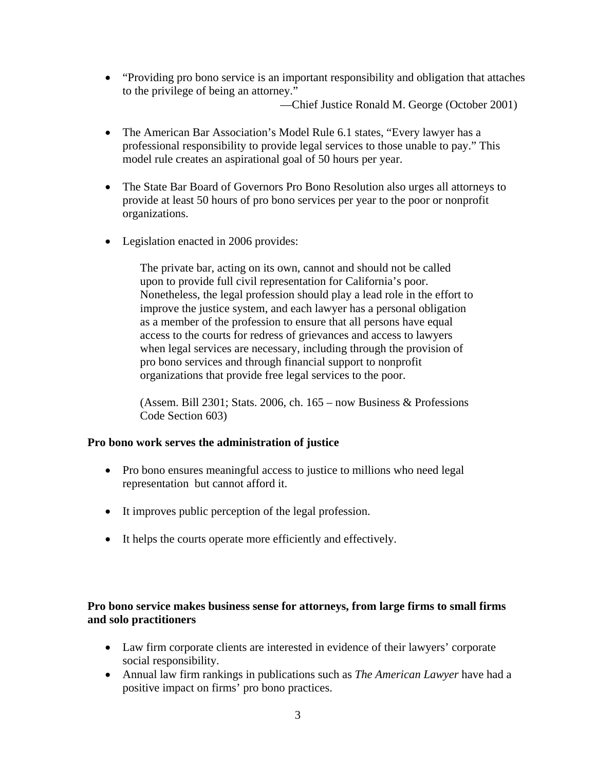• "Providing pro bono service is an important responsibility and obligation that attaches to the privilege of being an attorney."

—Chief Justice Ronald M. George (October 2001)

- The American Bar Association's Model Rule 6.1 states, "Every lawyer has a professional responsibility to provide legal services to those unable to pay." This model rule creates an aspirational goal of 50 hours per year.
- The State Bar Board of Governors Pro Bono Resolution also urges all attorneys to provide at least 50 hours of pro bono services per year to the poor or nonprofit organizations.
- Legislation enacted in 2006 provides:

The private bar, acting on its own, cannot and should not be called upon to provide full civil representation for California's poor. Nonetheless, the legal profession should play a lead role in the effort to improve the justice system, and each lawyer has a personal obligation as a member of the profession to ensure that all persons have equal access to the courts for redress of grievances and access to lawyers when legal services are necessary, including through the provision of pro bono services and through financial support to nonprofit organizations that provide free legal services to the poor.

(Assem. Bill 2301; Stats. 2006, ch. 165 – now Business & Professions Code Section 603)

# **Pro bono work serves the administration of justice**

- Pro bono ensures meaningful access to justice to millions who need legal representation but cannot afford it.
- It improves public perception of the legal profession.
- It helps the courts operate more efficiently and effectively.

# **Pro bono service makes business sense for attorneys, from large firms to small firms and solo practitioners**

- Law firm corporate clients are interested in evidence of their lawyers' corporate social responsibility.
- Annual law firm rankings in publications such as *The American Lawyer* have had a positive impact on firms' pro bono practices.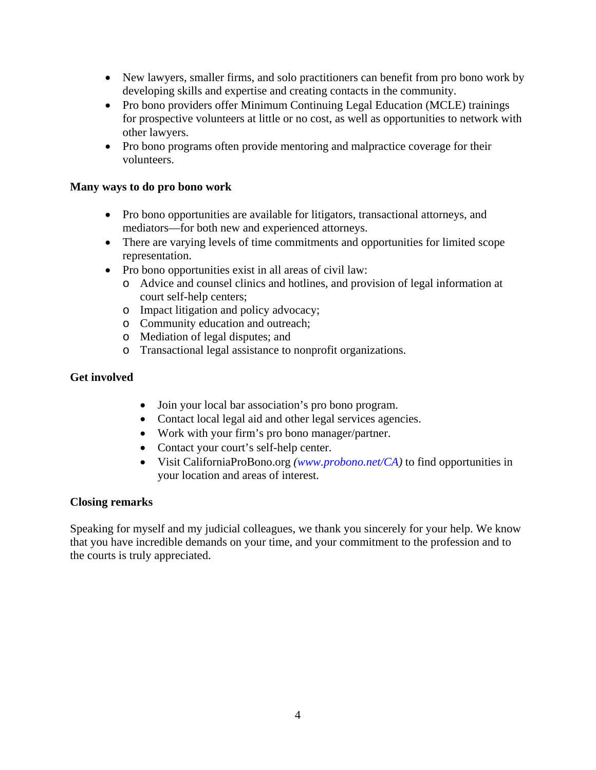- New lawyers, smaller firms, and solo practitioners can benefit from pro bono work by developing skills and expertise and creating contacts in the community.
- Pro bono providers offer Minimum Continuing Legal Education (MCLE) trainings for prospective volunteers at little or no cost, as well as opportunities to network with other lawyers.
- Pro bono programs often provide mentoring and malpractice coverage for their volunteers.

#### **Many ways to do pro bono work**

- Pro bono opportunities are available for litigators, transactional attorneys, and mediators—for both new and experienced attorneys.
- There are varying levels of time commitments and opportunities for limited scope representation.
- Pro bono opportunities exist in all areas of civil law:
	- o Advice and counsel clinics and hotlines, and provision of legal information at court self-help centers;
	- o Impact litigation and policy advocacy;
	- o Community education and outreach;
	- o Mediation of legal disputes; and
	- o Transactional legal assistance to nonprofit organizations.

### **Get involved**

- Join your local bar association's pro bono program.
- Contact local legal aid and other legal services agencies.
- Work with your firm's pro bono manager/partner.
- Contact your court's self-help center.
- Visit CaliforniaProBono.org *([www.probono.net/CA\)](http://www.probono.net/CA)* to find opportunities in your location and areas of interest.

#### **Closing remarks**

Speaking for myself and my judicial colleagues, we thank you sincerely for your help. We know that you have incredible demands on your time, and your commitment to the profession and to the courts is truly appreciated.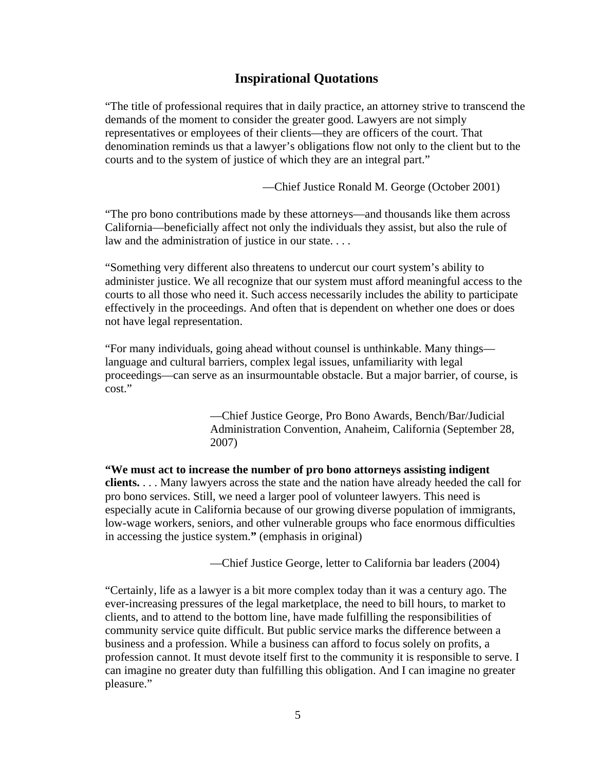# **Inspirational Quotations**

"The title of professional requires that in daily practice, an attorney strive to transcend the demands of the moment to consider the greater good. Lawyers are not simply representatives or employees of their clients—they are officers of the court. That denomination reminds us that a lawyer's obligations flow not only to the client but to the courts and to the system of justice of which they are an integral part."

—Chief Justice Ronald M. George (October 2001)

"The pro bono contributions made by these attorneys—and thousands like them across California—beneficially affect not only the individuals they assist, but also the rule of law and the administration of justice in our state. . . .

"Something very different also threatens to undercut our court system's ability to administer justice. We all recognize that our system must afford meaningful access to the courts to all those who need it. Such access necessarily includes the ability to participate effectively in the proceedings. And often that is dependent on whether one does or does not have legal representation.

"For many individuals, going ahead without counsel is unthinkable. Many things language and cultural barriers, complex legal issues, unfamiliarity with legal proceedings—can serve as an insurmountable obstacle. But a major barrier, of course, is cost."

> —Chief Justice George, Pro Bono Awards, Bench/Bar/Judicial Administration Convention, Anaheim, California (September 28, 2007)

**"We must act to increase the number of pro bono attorneys assisting indigent clients.** . . . Many lawyers across the state and the nation have already heeded the call for pro bono services. Still, we need a larger pool of volunteer lawyers. This need is especially acute in California because of our growing diverse population of immigrants, low-wage workers, seniors, and other vulnerable groups who face enormous difficulties in accessing the justice system.**"** (emphasis in original)

—Chief Justice George, letter to California bar leaders (2004)

"Certainly, life as a lawyer is a bit more complex today than it was a century ago. The ever-increasing pressures of the legal marketplace, the need to bill hours, to market to clients, and to attend to the bottom line, have made fulfilling the responsibilities of community service quite difficult. But public service marks the difference between a business and a profession. While a business can afford to focus solely on profits, a profession cannot. It must devote itself first to the community it is responsible to serve. I can imagine no greater duty than fulfilling this obligation. And I can imagine no greater pleasure."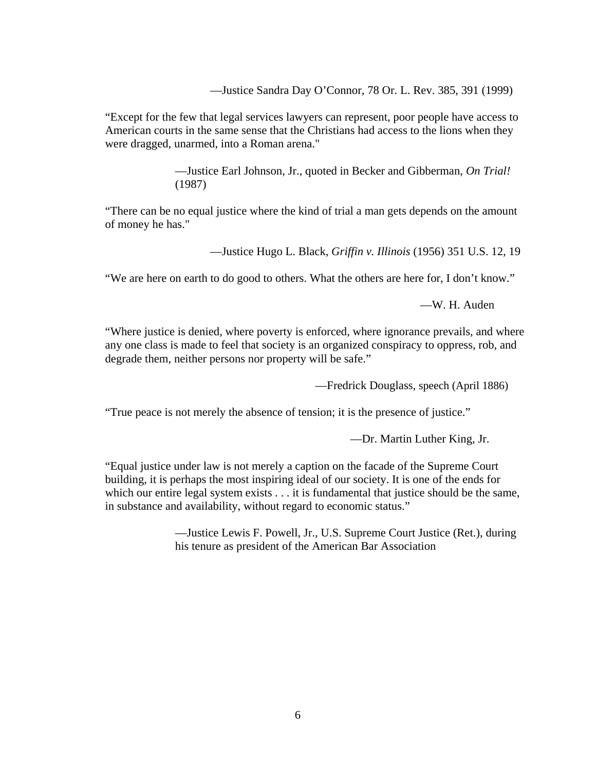—Justice Sandra Day O'Connor, 78 Or. L. Rev. 385, 391 (1999)

"Except for the few that legal services lawyers can represent, poor people have access to American courts in the same sense that the Christians had access to the lions when they were dragged, unarmed, into a Roman arena."

> —Justice Earl Johnson, Jr., quoted in Becker and Gibberman, *On Trial!* (1987)

"There can be no equal justice where the kind of trial a man gets depends on the amount of money he has."

—Justice Hugo L. Black, *Griffin v. Illinois* (1956) 351 U.S. 12, 19

"We are here on earth to do good to others. What the others are here for, I don't know."

—W. H. Auden

"Where justice is denied, where poverty is enforced, where ignorance prevails, and where any one class is made to feel that society is an organized conspiracy to oppress, rob, and degrade them, neither persons nor property will be safe."

—Fredrick Douglass, speech (April 1886)

"True peace is not merely the absence of tension; it is the presence of justice."

—Dr. Martin Luther King, Jr.

"Equal justice under law is not merely a caption on the facade of the Supreme Court building, it is perhaps the most inspiring ideal of our society. It is one of the ends for which our entire legal system exists . . . it is fundamental that justice should be the same, in substance and availability, without regard to economic status."

> —Justice Lewis F. Powell, Jr., U.S. Supreme Court Justice (Ret.), during his tenure as president of the American Bar Association